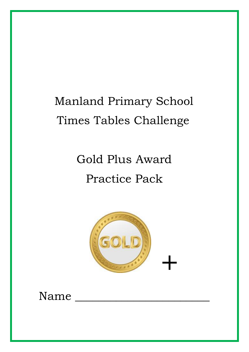# Manland Primary School Times Tables Challenge

# Gold Plus Award Practice Pack



### Name \_\_\_\_\_\_\_\_\_\_\_\_\_\_\_\_\_\_\_\_\_\_\_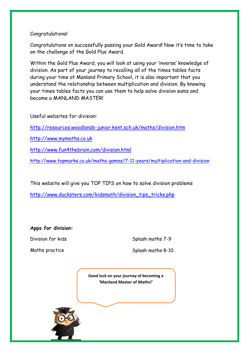#### Congratulations!

Congratulations on successfully passing your Gold Award! Now it's time to take on the challenge of the Gold Plus Award.

Within the Gold Plus Award, you will look at using your 'inverse' knowledge of division. As part of your journey to recalling all of the times tables facts during your time at Manland Primary School, it is also important that you understand the relationship between multiplication and division. By knowing your times tables facts you can use them to help solve division sums and become a MANLAND MASTER!

Useful websites for division:

<http://resources.woodlands-junior.kent.sch.uk/maths/division.htm>

[http://www.mymaths.co.uk](http://www.mymaths.co.uk/)

<http://www.fun4thebrain.com/division.html>

<http://www.topmarks.co.uk/maths-games/7-11-years/multiplication-and-division>

This website will give you TOP TIPS on how to solve division problems

[http://www.ducksters.com/kidsmath/division\\_tips\\_tricks.php](http://www.ducksters.com/kidsmath/division_tips_tricks.php)

**Apps for division:**

Division for kids Splash maths 7-9

Maths practice Splash maths 8-10

**Good luck on your journey of becoming a 'Manland Master of Maths!'**

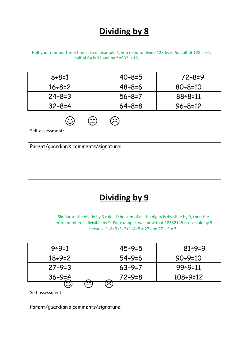### **Dividing by 8**

Half your number three times. So in example 1, you need to divide 128 by 8. So half of 128 is 64, half of 64 is 32 and half of 32 is 16.

| $8 \div 8 = 1$  | $40 \div 8 = 5$ | $72 \div 8 = 9$  |
|-----------------|-----------------|------------------|
| $16 \div 8 = 2$ | 48÷8=6          | $80 \div 8 = 10$ |
| $24 \div 8 = 3$ | $56 \div 8 = 7$ | $88 \div 8 = 11$ |
| $32 \div 8 = 4$ | $64 \div 8 = 8$ | $96 \div 8 = 12$ |

 $\odot$   $\odot$   $\odot$ 

Self-assessment:

Parent/guardian's comments/signature:

#### **Dividing by 9**

Similar to the divide by 3 rule, if the sum of all the digits is divisible by 9, then the entire number is divisible by 9. For example, we know that 18332145 is divisible by 9 because  $1+8+3+3+2+1+4+5 = 27$  and  $27 \div 9 = 3$ .

| $9 \div 9 = 1$  | $45 \div 9 = 5$ | $81 \div 9 = 9$   |
|-----------------|-----------------|-------------------|
| $18 \div 9 = 2$ | $54 \div 9 = 6$ | $90 \div 9 = 10$  |
| $27 \div 9 = 3$ | $63 \div 9 = 7$ | $99 \div 9 = 11$  |
| $36 \div 9 = 4$ | $72 \div 9 = 8$ | $108 \div 9 = 12$ |
| $\bm \cdot$     |                 |                   |

Self-assessment:

Parent/guardian's comments/signature: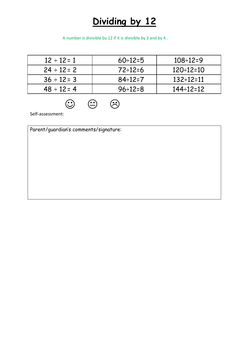## **Dividing by 12**

A number is divisible by 12 if it is divisible by 3 and by 4..

| $12 \div 12 = 1$ | $60 \div 12 = 5$ | $108 \div 12 = 9$  |
|------------------|------------------|--------------------|
| $24 \div 12 = 2$ | $72 \div 12 = 6$ | $120 \div 12 = 10$ |
| $36 \div 12 = 3$ | $84 \div 12 = 7$ | $132 \div 12 = 11$ |
| $48 \div 12 = 4$ | $96 \div 12 = 8$ | 144÷12=12          |

 $\odot$   $\odot$   $\odot$ 

Self-assessment:

Parent/guardian's comments/signature: